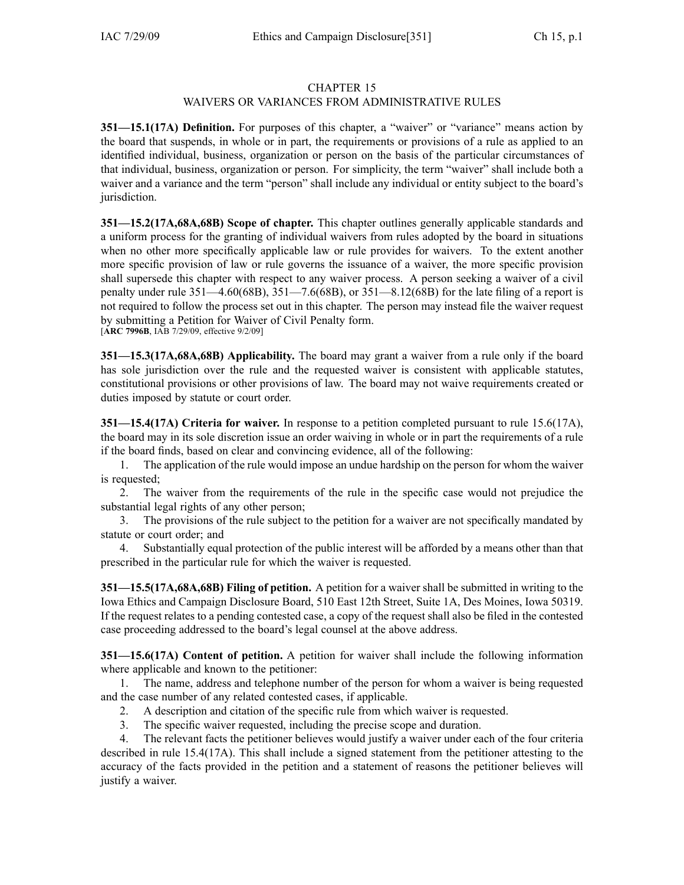## CHAPTER 15

## WAIVERS OR VARIANCES FROM ADMINISTRATIVE RULES

**351—15.1(17A) Definition.** For purposes of this chapter, <sup>a</sup> "waiver" or "variance" means action by the board that suspends, in whole or in part, the requirements or provisions of <sup>a</sup> rule as applied to an identified individual, business, organization or person on the basis of the particular circumstances of that individual, business, organization or person. For simplicity, the term "waiver" shall include both <sup>a</sup> waiver and <sup>a</sup> variance and the term "person" shall include any individual or entity subject to the board's jurisdiction.

**351—15.2(17A,68A,68B) Scope of chapter.** This chapter outlines generally applicable standards and <sup>a</sup> uniform process for the granting of individual waivers from rules adopted by the board in situations when no other more specifically applicable law or rule provides for waivers. To the extent another more specific provision of law or rule governs the issuance of <sup>a</sup> waiver, the more specific provision shall supersede this chapter with respec<sup>t</sup> to any waiver process. A person seeking <sup>a</sup> waiver of <sup>a</sup> civil penalty under rule  $351-4.60(68B)$ ,  $351-7.6(68B)$ , or  $351-8.12(68B)$  for the late filing of a report is not required to follow the process set out in this chapter. The person may instead file the waiver reques<sup>t</sup> by submitting <sup>a</sup> Petition for Waiver of Civil Penalty form. [**ARC 7996B**, IAB 7/29/09, effective 9/2/09]

**351—15.3(17A,68A,68B) Applicability.** The board may gran<sup>t</sup> <sup>a</sup> waiver from <sup>a</sup> rule only if the board has sole jurisdiction over the rule and the requested waiver is consistent with applicable statutes, constitutional provisions or other provisions of law. The board may not waive requirements created or duties imposed by statute or court order.

**351—15.4(17A) Criteria for waiver.** In response to <sup>a</sup> petition completed pursuan<sup>t</sup> to rule 15.6(17A), the board may in its sole discretion issue an order waiving in whole or in par<sup>t</sup> the requirements of <sup>a</sup> rule if the board finds, based on clear and convincing evidence, all of the following:

1. The application of the rule would impose an undue hardship on the person for whom the waiver is requested;

2. The waiver from the requirements of the rule in the specific case would not prejudice the substantial legal rights of any other person;

3. The provisions of the rule subject to the petition for <sup>a</sup> waiver are not specifically mandated by statute or court order; and

4. Substantially equal protection of the public interest will be afforded by <sup>a</sup> means other than that prescribed in the particular rule for which the waiver is requested.

**351—15.5(17A,68A,68B) Filing of petition.** A petition for <sup>a</sup> waiver shall be submitted in writing to the Iowa Ethics and Campaign Disclosure Board, 510 East 12th Street, Suite 1A, Des Moines, Iowa 50319. If the reques<sup>t</sup> relates to <sup>a</sup> pending contested case, <sup>a</sup> copy of the reques<sup>t</sup> shall also be filed in the contested case proceeding addressed to the board's legal counsel at the above address.

**351—15.6(17A) Content of petition.** A petition for waiver shall include the following information where applicable and known to the petitioner:

1. The name, address and telephone number of the person for whom <sup>a</sup> waiver is being requested and the case number of any related contested cases, if applicable.

- 2. A description and citation of the specific rule from which waiver is requested.
- 3. The specific waiver requested, including the precise scope and duration.

4. The relevant facts the petitioner believes would justify <sup>a</sup> waiver under each of the four criteria described in rule 15.4(17A). This shall include <sup>a</sup> signed statement from the petitioner attesting to the accuracy of the facts provided in the petition and <sup>a</sup> statement of reasons the petitioner believes will justify <sup>a</sup> waiver.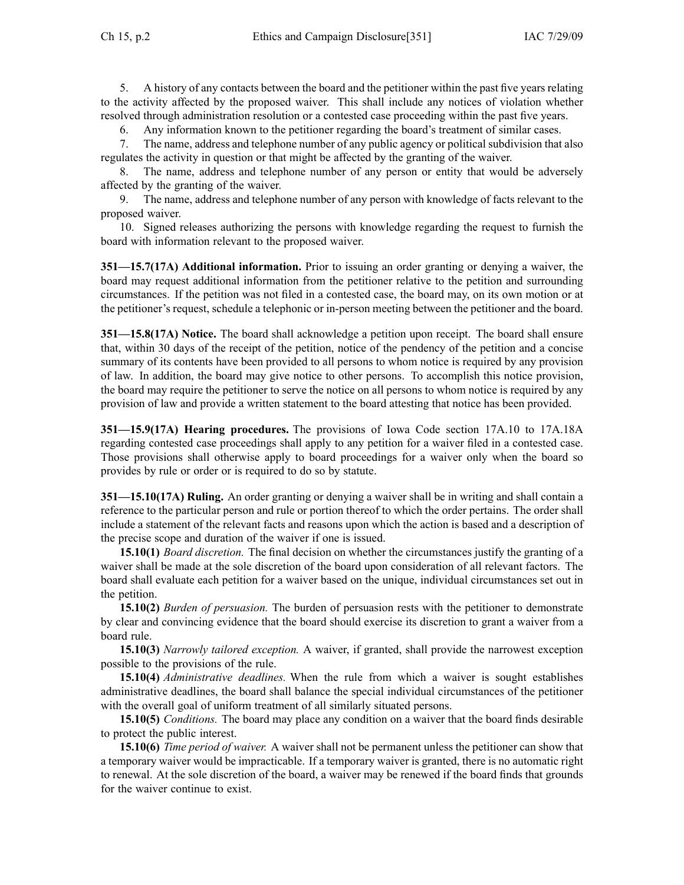5. A history of any contacts between the board and the petitioner within the pas<sup>t</sup> five years relating to the activity affected by the proposed waiver. This shall include any notices of violation whether resolved through administration resolution or <sup>a</sup> contested case proceeding within the pas<sup>t</sup> five years.

6. Any information known to the petitioner regarding the board's treatment of similar cases.

7. The name, address and telephone number of any public agency or political subdivision that also regulates the activity in question or that might be affected by the granting of the waiver.

8. The name, address and telephone number of any person or entity that would be adversely affected by the granting of the waiver.

9. The name, address and telephone number of any person with knowledge of facts relevant to the proposed waiver.

10. Signed releases authorizing the persons with knowledge regarding the reques<sup>t</sup> to furnish the board with information relevant to the proposed waiver.

**351—15.7(17A) Additional information.** Prior to issuing an order granting or denying <sup>a</sup> waiver, the board may reques<sup>t</sup> additional information from the petitioner relative to the petition and surrounding circumstances. If the petition was not filed in <sup>a</sup> contested case, the board may, on its own motion or at the petitioner's request, schedule <sup>a</sup> telephonic or in-person meeting between the petitioner and the board.

**351—15.8(17A) Notice.** The board shall acknowledge <sup>a</sup> petition upon receipt. The board shall ensure that, within 30 days of the receipt of the petition, notice of the pendency of the petition and <sup>a</sup> concise summary of its contents have been provided to all persons to whom notice is required by any provision of law. In addition, the board may give notice to other persons. To accomplish this notice provision, the board may require the petitioner to serve the notice on all persons to whom notice is required by any provision of law and provide <sup>a</sup> written statement to the board attesting that notice has been provided.

**351—15.9(17A) Hearing procedures.** The provisions of Iowa Code section 17A.10 to 17A.18A regarding contested case proceedings shall apply to any petition for <sup>a</sup> waiver filed in <sup>a</sup> contested case. Those provisions shall otherwise apply to board proceedings for <sup>a</sup> waiver only when the board so provides by rule or order or is required to do so by statute.

**351—15.10(17A) Ruling.** An order granting or denying <sup>a</sup> waiver shall be in writing and shall contain <sup>a</sup> reference to the particular person and rule or portion thereof to which the order pertains. The order shall include <sup>a</sup> statement of the relevant facts and reasons upon which the action is based and <sup>a</sup> description of the precise scope and duration of the waiver if one is issued.

**15.10(1)** *Board discretion.* The final decision on whether the circumstances justify the granting of <sup>a</sup> waiver shall be made at the sole discretion of the board upon consideration of all relevant factors. The board shall evaluate each petition for <sup>a</sup> waiver based on the unique, individual circumstances set out in the petition.

**15.10(2)** *Burden of persuasion.* The burden of persuasion rests with the petitioner to demonstrate by clear and convincing evidence that the board should exercise its discretion to gran<sup>t</sup> <sup>a</sup> waiver from <sup>a</sup> board rule.

**15.10(3)** *Narrowly tailored exception.* A waiver, if granted, shall provide the narrowest exception possible to the provisions of the rule.

**15.10(4)** *Administrative deadlines.* When the rule from which <sup>a</sup> waiver is sought establishes administrative deadlines, the board shall balance the special individual circumstances of the petitioner with the overall goal of uniform treatment of all similarly situated persons.

**15.10(5)** *Conditions.* The board may place any condition on <sup>a</sup> waiver that the board finds desirable to protect the public interest.

**15.10(6)** *Time period of waiver.* A waiver shall not be permanen<sup>t</sup> unless the petitioner can show that <sup>a</sup> temporary waiver would be impracticable. If <sup>a</sup> temporary waiver is granted, there is no automatic right to renewal. At the sole discretion of the board, <sup>a</sup> waiver may be renewed if the board finds that grounds for the waiver continue to exist.